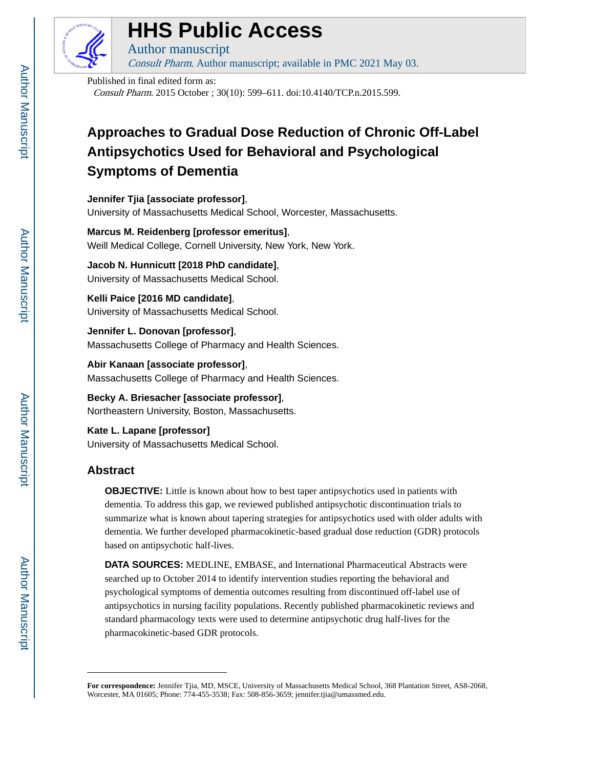

# **HHS Public Access**

Author manuscript Consult Pharm. Author manuscript; available in PMC 2021 May 03.

Published in final edited form as: Consult Pharm. 2015 October ; 30(10): 599–611. doi:10.4140/TCP.n.2015.599.

# **Approaches to Gradual Dose Reduction of Chronic Off-Label Antipsychotics Used for Behavioral and Psychological Symptoms of Dementia**

**Jennifer Tjia [associate professor]**, University of Massachusetts Medical School, Worcester, Massachusetts.

**Marcus M. Reidenberg [professor emeritus]**, Weill Medical College, Cornell University, New York, New York.

**Jacob N. Hunnicutt [2018 PhD candidate]**, University of Massachusetts Medical School.

**Kelli Paice [2016 MD candidate]**, University of Massachusetts Medical School.

**Jennifer L. Donovan [professor]**, Massachusetts College of Pharmacy and Health Sciences.

**Abir Kanaan [associate professor]**, Massachusetts College of Pharmacy and Health Sciences.

**Becky A. Briesacher [associate professor]**, Northeastern University, Boston, Massachusetts.

**Kate L. Lapane [professor]** University of Massachusetts Medical School.

# **Abstract**

**OBJECTIVE:** Little is known about how to best taper antipsychotics used in patients with dementia. To address this gap, we reviewed published antipsychotic discontinuation trials to summarize what is known about tapering strategies for antipsychotics used with older adults with dementia. We further developed pharmacokinetic-based gradual dose reduction (GDR) protocols based on antipsychotic half-lives.

**DATA SOURCES:** MEDLINE, EMBASE, and International Pharmaceutical Abstracts were searched up to October 2014 to identify intervention studies reporting the behavioral and psychological symptoms of dementia outcomes resulting from discontinued off-label use of antipsychotics in nursing facility populations. Recently published pharmacokinetic reviews and standard pharmacology texts were used to determine antipsychotic drug half-lives for the pharmacokinetic-based GDR protocols.

**For correspondence:** Jennifer Tjia, MD, MSCE, University of Massachusetts Medical School, 368 Plantation Street, AS8-2068, Worcester, MA 01605; Phone: 774-455-3538; Fax: 508-856-3659; jennifer.tjia@umassmed.edu.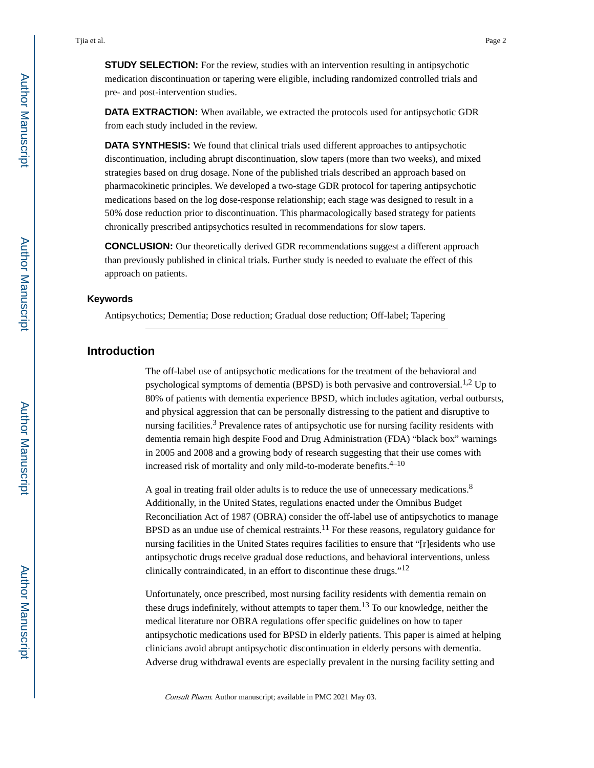**STUDY SELECTION:** For the review, studies with an intervention resulting in antipsychotic medication discontinuation or tapering were eligible, including randomized controlled trials and pre- and post-intervention studies.

**DATA EXTRACTION:** When available, we extracted the protocols used for antipsychotic GDR from each study included in the review.

**DATA SYNTHESIS:** We found that clinical trials used different approaches to antipsychotic discontinuation, including abrupt discontinuation, slow tapers (more than two weeks), and mixed strategies based on drug dosage. None of the published trials described an approach based on pharmacokinetic principles. We developed a two-stage GDR protocol for tapering antipsychotic medications based on the log dose-response relationship; each stage was designed to result in a 50% dose reduction prior to discontinuation. This pharmacologically based strategy for patients chronically prescribed antipsychotics resulted in recommendations for slow tapers.

**CONCLUSION:** Our theoretically derived GDR recommendations suggest a different approach than previously published in clinical trials. Further study is needed to evaluate the effect of this approach on patients.

#### **Keywords**

Antipsychotics; Dementia; Dose reduction; Gradual dose reduction; Off-label; Tapering

### **Introduction**

The off-label use of antipsychotic medications for the treatment of the behavioral and psychological symptoms of dementia (BPSD) is both pervasive and controversial.<sup>1,2</sup> Up to 80% of patients with dementia experience BPSD, which includes agitation, verbal outbursts, and physical aggression that can be personally distressing to the patient and disruptive to nursing facilities.<sup>3</sup> Prevalence rates of antipsychotic use for nursing facility residents with dementia remain high despite Food and Drug Administration (FDA) "black box" warnings in 2005 and 2008 and a growing body of research suggesting that their use comes with increased risk of mortality and only mild-to-moderate benefits. $4-10$ 

A goal in treating frail older adults is to reduce the use of unnecessary medications.<sup>8</sup> Additionally, in the United States, regulations enacted under the Omnibus Budget Reconciliation Act of 1987 (OBRA) consider the off-label use of antipsychotics to manage BPSD as an undue use of chemical restraints.<sup>11</sup> For these reasons, regulatory guidance for nursing facilities in the United States requires facilities to ensure that "[r]esidents who use antipsychotic drugs receive gradual dose reductions, and behavioral interventions, unless clinically contraindicated, in an effort to discontinue these drugs."<sup>12</sup>

Unfortunately, once prescribed, most nursing facility residents with dementia remain on these drugs indefinitely, without attempts to taper them.<sup>13</sup> To our knowledge, neither the medical literature nor OBRA regulations offer specific guidelines on how to taper antipsychotic medications used for BPSD in elderly patients. This paper is aimed at helping clinicians avoid abrupt antipsychotic discontinuation in elderly persons with dementia. Adverse drug withdrawal events are especially prevalent in the nursing facility setting and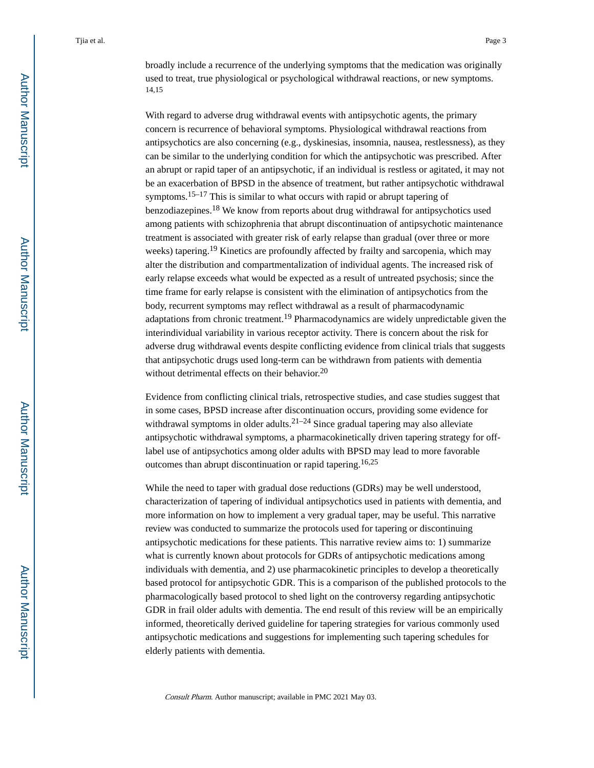broadly include a recurrence of the underlying symptoms that the medication was originally used to treat, true physiological or psychological withdrawal reactions, or new symptoms. 14,15

With regard to adverse drug withdrawal events with antipsychotic agents, the primary concern is recurrence of behavioral symptoms. Physiological withdrawal reactions from antipsychotics are also concerning (e.g., dyskinesias, insomnia, nausea, restlessness), as they can be similar to the underlying condition for which the antipsychotic was prescribed. After an abrupt or rapid taper of an antipsychotic, if an individual is restless or agitated, it may not be an exacerbation of BPSD in the absence of treatment, but rather antipsychotic withdrawal symptoms.15–17 This is similar to what occurs with rapid or abrupt tapering of benzodiazepines.<sup>18</sup> We know from reports about drug withdrawal for antipsychotics used among patients with schizophrenia that abrupt discontinuation of antipsychotic maintenance treatment is associated with greater risk of early relapse than gradual (over three or more weeks) tapering.<sup>19</sup> Kinetics are profoundly affected by frailty and sarcopenia, which may alter the distribution and compartmentalization of individual agents. The increased risk of early relapse exceeds what would be expected as a result of untreated psychosis; since the time frame for early relapse is consistent with the elimination of antipsychotics from the body, recurrent symptoms may reflect withdrawal as a result of pharmacodynamic adaptations from chronic treatment.19 Pharmacodynamics are widely unpredictable given the interindividual variability in various receptor activity. There is concern about the risk for adverse drug withdrawal events despite conflicting evidence from clinical trials that suggests that antipsychotic drugs used long-term can be withdrawn from patients with dementia without detrimental effects on their behavior.<sup>20</sup>

Evidence from conflicting clinical trials, retrospective studies, and case studies suggest that in some cases, BPSD increase after discontinuation occurs, providing some evidence for withdrawal symptoms in older adults. $2^{1-24}$  Since gradual tapering may also alleviate antipsychotic withdrawal symptoms, a pharmacokinetically driven tapering strategy for offlabel use of antipsychotics among older adults with BPSD may lead to more favorable outcomes than abrupt discontinuation or rapid tapering.16,25

While the need to taper with gradual dose reductions (GDRs) may be well understood, characterization of tapering of individual antipsychotics used in patients with dementia, and more information on how to implement a very gradual taper, may be useful. This narrative review was conducted to summarize the protocols used for tapering or discontinuing antipsychotic medications for these patients. This narrative review aims to: 1) summarize what is currently known about protocols for GDRs of antipsychotic medications among individuals with dementia, and 2) use pharmacokinetic principles to develop a theoretically based protocol for antipsychotic GDR. This is a comparison of the published protocols to the pharmacologically based protocol to shed light on the controversy regarding antipsychotic GDR in frail older adults with dementia. The end result of this review will be an empirically informed, theoretically derived guideline for tapering strategies for various commonly used antipsychotic medications and suggestions for implementing such tapering schedules for elderly patients with dementia.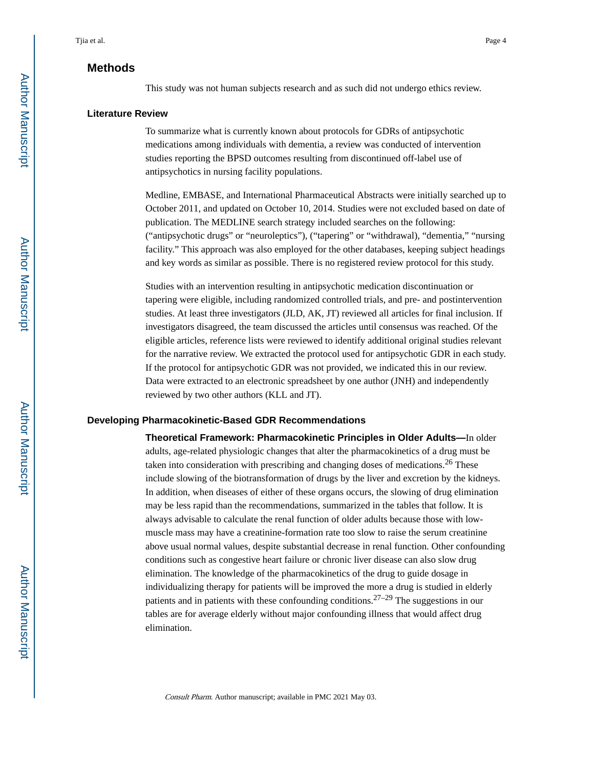## **Methods**

This study was not human subjects research and as such did not undergo ethics review.

#### **Literature Review**

To summarize what is currently known about protocols for GDRs of antipsychotic medications among individuals with dementia, a review was conducted of intervention studies reporting the BPSD outcomes resulting from discontinued off-label use of antipsychotics in nursing facility populations.

Medline, EMBASE, and International Pharmaceutical Abstracts were initially searched up to October 2011, and updated on October 10, 2014. Studies were not excluded based on date of publication. The MEDLINE search strategy included searches on the following: ("antipsychotic drugs" or "neuroleptics"), ("tapering" or "withdrawal), "dementia," "nursing facility." This approach was also employed for the other databases, keeping subject headings and key words as similar as possible. There is no registered review protocol for this study.

Studies with an intervention resulting in antipsychotic medication discontinuation or tapering were eligible, including randomized controlled trials, and pre- and postintervention studies. At least three investigators (JLD, AK, JT) reviewed all articles for final inclusion. If investigators disagreed, the team discussed the articles until consensus was reached. Of the eligible articles, reference lists were reviewed to identify additional original studies relevant for the narrative review. We extracted the protocol used for antipsychotic GDR in each study. If the protocol for antipsychotic GDR was not provided, we indicated this in our review. Data were extracted to an electronic spreadsheet by one author (JNH) and independently reviewed by two other authors (KLL and JT).

#### **Developing Pharmacokinetic-Based GDR Recommendations**

**Theoretical Framework: Pharmacokinetic Principles in Older Adults—**In older adults, age-related physiologic changes that alter the pharmacokinetics of a drug must be taken into consideration with prescribing and changing doses of medications.<sup>26</sup> These include slowing of the biotransformation of drugs by the liver and excretion by the kidneys. In addition, when diseases of either of these organs occurs, the slowing of drug elimination may be less rapid than the recommendations, summarized in the tables that follow. It is always advisable to calculate the renal function of older adults because those with lowmuscle mass may have a creatinine-formation rate too slow to raise the serum creatinine above usual normal values, despite substantial decrease in renal function. Other confounding conditions such as congestive heart failure or chronic liver disease can also slow drug elimination. The knowledge of the pharmacokinetics of the drug to guide dosage in individualizing therapy for patients will be improved the more a drug is studied in elderly patients and in patients with these confounding conditions.<sup>27–29</sup> The suggestions in our tables are for average elderly without major confounding illness that would affect drug elimination.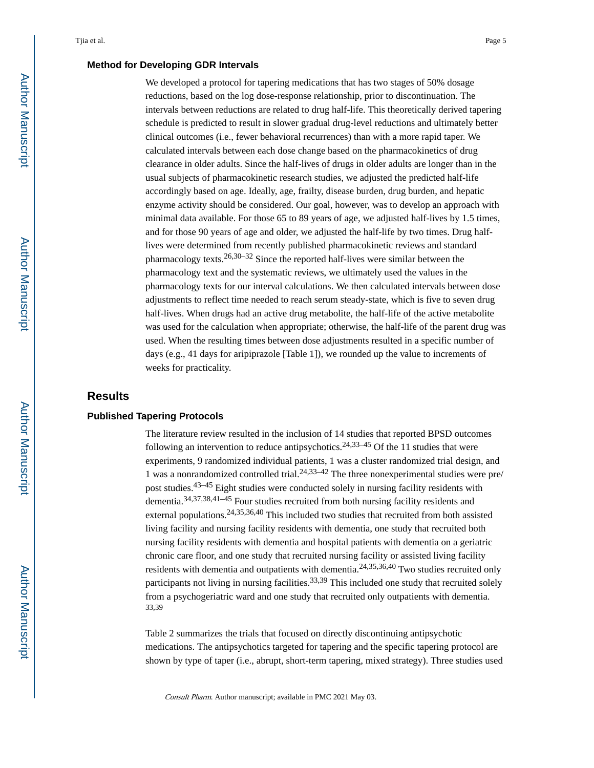#### **Method for Developing GDR Intervals**

We developed a protocol for tapering medications that has two stages of 50% dosage reductions, based on the log dose-response relationship, prior to discontinuation. The intervals between reductions are related to drug half-life. This theoretically derived tapering schedule is predicted to result in slower gradual drug-level reductions and ultimately better clinical outcomes (i.e., fewer behavioral recurrences) than with a more rapid taper. We calculated intervals between each dose change based on the pharmacokinetics of drug clearance in older adults. Since the half-lives of drugs in older adults are longer than in the usual subjects of pharmacokinetic research studies, we adjusted the predicted half-life accordingly based on age. Ideally, age, frailty, disease burden, drug burden, and hepatic enzyme activity should be considered. Our goal, however, was to develop an approach with minimal data available. For those 65 to 89 years of age, we adjusted half-lives by 1.5 times, and for those 90 years of age and older, we adjusted the half-life by two times. Drug halflives were determined from recently published pharmacokinetic reviews and standard pharmacology texts.<sup>26,30–32</sup> Since the reported half-lives were similar between the pharmacology text and the systematic reviews, we ultimately used the values in the pharmacology texts for our interval calculations. We then calculated intervals between dose adjustments to reflect time needed to reach serum steady-state, which is five to seven drug half-lives. When drugs had an active drug metabolite, the half-life of the active metabolite was used for the calculation when appropriate; otherwise, the half-life of the parent drug was used. When the resulting times between dose adjustments resulted in a specific number of days (e.g., 41 days for aripiprazole [Table 1]), we rounded up the value to increments of weeks for practicality.

# **Results**

#### **Published Tapering Protocols**

The literature review resulted in the inclusion of 14 studies that reported BPSD outcomes following an intervention to reduce antipsychotics.<sup>24,33–45</sup> Of the 11 studies that were experiments, 9 randomized individual patients, 1 was a cluster randomized trial design, and 1 was a nonrandomized controlled trial.<sup>24,33-42</sup> The three nonexperimental studies were pre/ post studies.43–45 Eight studies were conducted solely in nursing facility residents with dementia.34,37,38,41–45 Four studies recruited from both nursing facility residents and external populations.24,35,36,40 This included two studies that recruited from both assisted living facility and nursing facility residents with dementia, one study that recruited both nursing facility residents with dementia and hospital patients with dementia on a geriatric chronic care floor, and one study that recruited nursing facility or assisted living facility residents with dementia and outpatients with dementia.24,35,36,40 Two studies recruited only participants not living in nursing facilities.<sup>33,39</sup> This included one study that recruited solely from a psychogeriatric ward and one study that recruited only outpatients with dementia. 33,39

Table 2 summarizes the trials that focused on directly discontinuing antipsychotic medications. The antipsychotics targeted for tapering and the specific tapering protocol are shown by type of taper (i.e., abrupt, short-term tapering, mixed strategy). Three studies used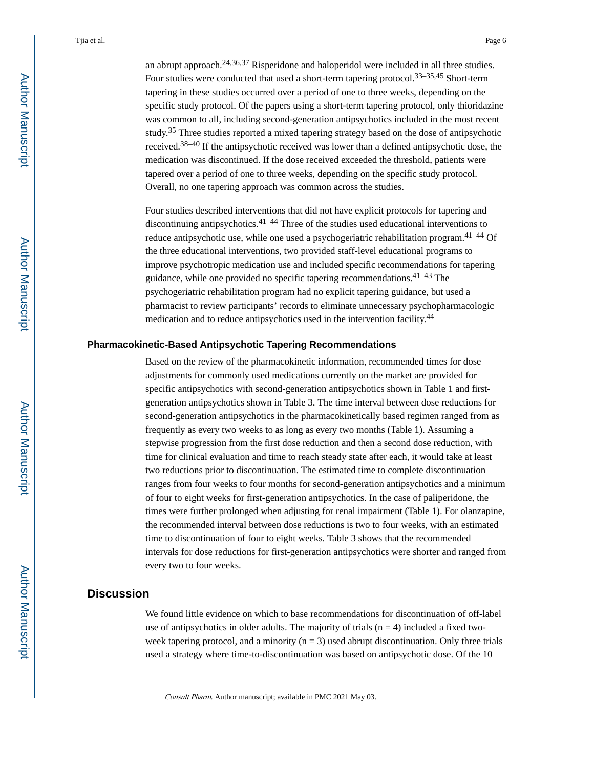an abrupt approach.24,36,37 Risperidone and haloperidol were included in all three studies. Four studies were conducted that used a short-term tapering protocol.  $33-35,45$  Short-term tapering in these studies occurred over a period of one to three weeks, depending on the specific study protocol. Of the papers using a short-term tapering protocol, only thioridazine was common to all, including second-generation antipsychotics included in the most recent study.35 Three studies reported a mixed tapering strategy based on the dose of antipsychotic received.38–40 If the antipsychotic received was lower than a defined antipsychotic dose, the medication was discontinued. If the dose received exceeded the threshold, patients were tapered over a period of one to three weeks, depending on the specific study protocol. Overall, no one tapering approach was common across the studies.

Four studies described interventions that did not have explicit protocols for tapering and discontinuing antipsychotics.41–44 Three of the studies used educational interventions to reduce antipsychotic use, while one used a psychogeriatric rehabilitation program.41–44 Of the three educational interventions, two provided staff-level educational programs to improve psychotropic medication use and included specific recommendations for tapering guidance, while one provided no specific tapering recommendations.  $41-43$  The psychogeriatric rehabilitation program had no explicit tapering guidance, but used a pharmacist to review participants' records to eliminate unnecessary psychopharmacologic medication and to reduce antipsychotics used in the intervention facility.<sup>44</sup>

#### **Pharmacokinetic-Based Antipsychotic Tapering Recommendations**

Based on the review of the pharmacokinetic information, recommended times for dose adjustments for commonly used medications currently on the market are provided for specific antipsychotics with second-generation antipsychotics shown in Table 1 and firstgeneration antipsychotics shown in Table 3. The time interval between dose reductions for second-generation antipsychotics in the pharmacokinetically based regimen ranged from as frequently as every two weeks to as long as every two months (Table 1). Assuming a stepwise progression from the first dose reduction and then a second dose reduction, with time for clinical evaluation and time to reach steady state after each, it would take at least two reductions prior to discontinuation. The estimated time to complete discontinuation ranges from four weeks to four months for second-generation antipsychotics and a minimum of four to eight weeks for first-generation antipsychotics. In the case of paliperidone, the times were further prolonged when adjusting for renal impairment (Table 1). For olanzapine, the recommended interval between dose reductions is two to four weeks, with an estimated time to discontinuation of four to eight weeks. Table 3 shows that the recommended intervals for dose reductions for first-generation antipsychotics were shorter and ranged from every two to four weeks.

# **Discussion**

We found little evidence on which to base recommendations for discontinuation of off-label use of antipsychotics in older adults. The majority of trials  $(n = 4)$  included a fixed twoweek tapering protocol, and a minority  $(n = 3)$  used abrupt discontinuation. Only three trials used a strategy where time-to-discontinuation was based on antipsychotic dose. Of the 10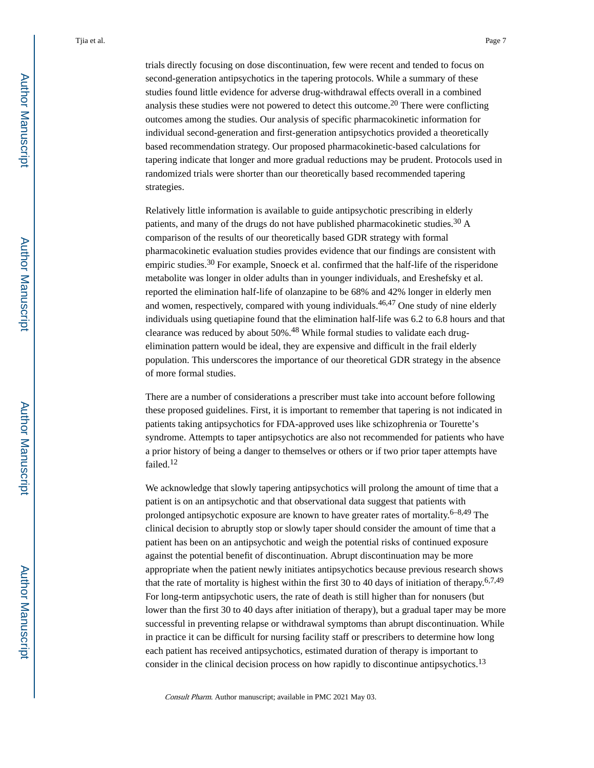trials directly focusing on dose discontinuation, few were recent and tended to focus on second-generation antipsychotics in the tapering protocols. While a summary of these studies found little evidence for adverse drug-withdrawal effects overall in a combined analysis these studies were not powered to detect this outcome.20 There were conflicting outcomes among the studies. Our analysis of specific pharmacokinetic information for individual second-generation and first-generation antipsychotics provided a theoretically based recommendation strategy. Our proposed pharmacokinetic-based calculations for tapering indicate that longer and more gradual reductions may be prudent. Protocols used in randomized trials were shorter than our theoretically based recommended tapering strategies.

Relatively little information is available to guide antipsychotic prescribing in elderly patients, and many of the drugs do not have published pharmacokinetic studies.<sup>30</sup> A comparison of the results of our theoretically based GDR strategy with formal pharmacokinetic evaluation studies provides evidence that our findings are consistent with empiric studies.<sup>30</sup> For example, Snoeck et al. confirmed that the half-life of the risperidone metabolite was longer in older adults than in younger individuals, and Ereshefsky et al. reported the elimination half-life of olanzapine to be 68% and 42% longer in elderly men and women, respectively, compared with young individuals.<sup>46,47</sup> One study of nine elderly individuals using quetiapine found that the elimination half-life was 6.2 to 6.8 hours and that clearance was reduced by about 50%.48 While formal studies to validate each drugelimination pattern would be ideal, they are expensive and difficult in the frail elderly population. This underscores the importance of our theoretical GDR strategy in the absence of more formal studies.

There are a number of considerations a prescriber must take into account before following these proposed guidelines. First, it is important to remember that tapering is not indicated in patients taking antipsychotics for FDA-approved uses like schizophrenia or Tourette's syndrome. Attempts to taper antipsychotics are also not recommended for patients who have a prior history of being a danger to themselves or others or if two prior taper attempts have failed.<sup>12</sup>

We acknowledge that slowly tapering antipsychotics will prolong the amount of time that a patient is on an antipsychotic and that observational data suggest that patients with prolonged antipsychotic exposure are known to have greater rates of mortality. $6-8,49$  The clinical decision to abruptly stop or slowly taper should consider the amount of time that a patient has been on an antipsychotic and weigh the potential risks of continued exposure against the potential benefit of discontinuation. Abrupt discontinuation may be more appropriate when the patient newly initiates antipsychotics because previous research shows that the rate of mortality is highest within the first 30 to 40 days of initiation of therapy.<sup>6,7,49</sup> For long-term antipsychotic users, the rate of death is still higher than for nonusers (but lower than the first 30 to 40 days after initiation of therapy), but a gradual taper may be more successful in preventing relapse or withdrawal symptoms than abrupt discontinuation. While in practice it can be difficult for nursing facility staff or prescribers to determine how long each patient has received antipsychotics, estimated duration of therapy is important to consider in the clinical decision process on how rapidly to discontinue antipsychotics.<sup>13</sup>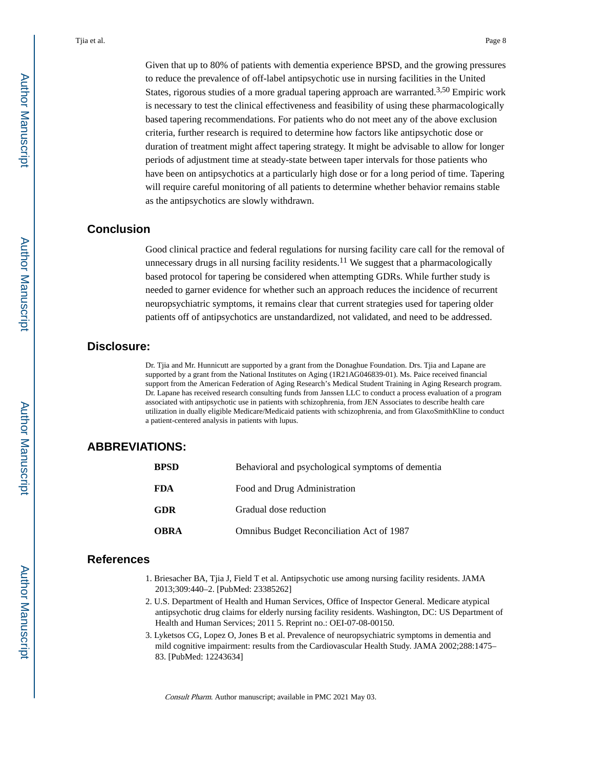Given that up to 80% of patients with dementia experience BPSD, and the growing pressures to reduce the prevalence of off-label antipsychotic use in nursing facilities in the United States, rigorous studies of a more gradual tapering approach are warranted.3,50 Empiric work is necessary to test the clinical effectiveness and feasibility of using these pharmacologically based tapering recommendations. For patients who do not meet any of the above exclusion criteria, further research is required to determine how factors like antipsychotic dose or duration of treatment might affect tapering strategy. It might be advisable to allow for longer periods of adjustment time at steady-state between taper intervals for those patients who have been on antipsychotics at a particularly high dose or for a long period of time. Tapering will require careful monitoring of all patients to determine whether behavior remains stable as the antipsychotics are slowly withdrawn.

# **Conclusion**

Good clinical practice and federal regulations for nursing facility care call for the removal of unnecessary drugs in all nursing facility residents.<sup>11</sup> We suggest that a pharmacologically based protocol for tapering be considered when attempting GDRs. While further study is needed to garner evidence for whether such an approach reduces the incidence of recurrent neuropsychiatric symptoms, it remains clear that current strategies used for tapering older patients off of antipsychotics are unstandardized, not validated, and need to be addressed.

### **Disclosure:**

Dr. Tjia and Mr. Hunnicutt are supported by a grant from the Donaghue Foundation. Drs. Tjia and Lapane are supported by a grant from the National Institutes on Aging (1R21AG046839-01). Ms. Paice received financial support from the American Federation of Aging Research's Medical Student Training in Aging Research program. Dr. Lapane has received research consulting funds from Janssen LLC to conduct a process evaluation of a program associated with antipsychotic use in patients with schizophrenia, from JEN Associates to describe health care utilization in dually eligible Medicare/Medicaid patients with schizophrenia, and from GlaxoSmithKline to conduct a patient-centered analysis in patients with lupus.

# **ABBREVIATIONS:**

| BPSD | Behavioral and psychological symptoms of dementia |
|------|---------------------------------------------------|
| FDA  | Food and Drug Administration                      |
| GDR  | Gradual dose reduction                            |
| OBRA | Omnibus Budget Reconciliation Act of 1987         |

# **References**

- 1. Briesacher BA, Tjia J, Field T et al. Antipsychotic use among nursing facility residents. JAMA 2013;309:440–2. [PubMed: 23385262]
- 2. U.S. Department of Health and Human Services, Office of Inspector General. Medicare atypical antipsychotic drug claims for elderly nursing facility residents. Washington, DC: US Department of Health and Human Services; 2011 5. Reprint no.: OEI-07-08-00150.
- 3. Lyketsos CG, Lopez O, Jones B et al. Prevalence of neuropsychiatric symptoms in dementia and mild cognitive impairment: results from the Cardiovascular Health Study. JAMA 2002;288:1475– 83. [PubMed: 12243634]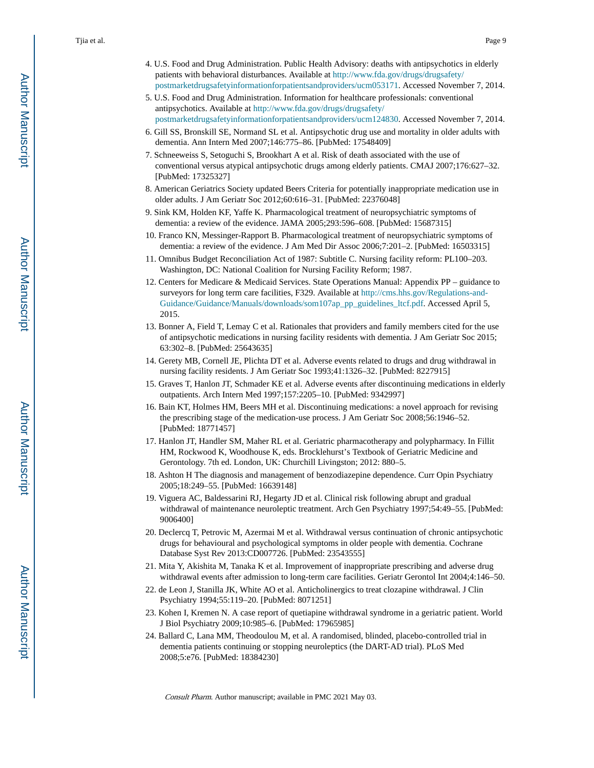- 4. U.S. Food and Drug Administration. Public Health Advisory: deaths with antipsychotics in elderly patients with behavioral disturbances. Available at [http://www.fda.gov/drugs/drugsafety/](http://www.fda.gov/drugs/drugsafety/postmarketdrugsafetyinformationforpatientsandproviders/ucm053171) [postmarketdrugsafetyinformationforpatientsandproviders/ucm053171.](http://www.fda.gov/drugs/drugsafety/postmarketdrugsafetyinformationforpatientsandproviders/ucm053171) Accessed November 7, 2014.
- 5. U.S. Food and Drug Administration. Information for healthcare professionals: conventional antipsychotics. Available at [http://www.fda.gov/drugs/drugsafety/](http://www.fda.gov/drugs/drugsafety/postmarketdrugsafetyinformationforpatientsandproviders/ucm124830) [postmarketdrugsafetyinformationforpatientsandproviders/ucm124830.](http://www.fda.gov/drugs/drugsafety/postmarketdrugsafetyinformationforpatientsandproviders/ucm124830) Accessed November 7, 2014.
- 6. Gill SS, Bronskill SE, Normand SL et al. Antipsychotic drug use and mortality in older adults with dementia. Ann Intern Med 2007;146:775–86. [PubMed: 17548409]
- 7. Schneeweiss S, Setoguchi S, Brookhart A et al. Risk of death associated with the use of conventional versus atypical antipsychotic drugs among elderly patients. CMAJ 2007;176:627–32. [PubMed: 17325327]
- 8. American Geriatrics Society updated Beers Criteria for potentially inappropriate medication use in older adults. J Am Geriatr Soc 2012;60:616–31. [PubMed: 22376048]
- 9. Sink KM, Holden KF, Yaffe K. Pharmacological treatment of neuropsychiatric symptoms of dementia: a review of the evidence. JAMA 2005;293:596–608. [PubMed: 15687315]
- 10. Franco KN, Messinger-Rapport B. Pharmacological treatment of neuropsychiatric symptoms of dementia: a review of the evidence. J Am Med Dir Assoc 2006;7:201–2. [PubMed: 16503315]
- 11. Omnibus Budget Reconciliation Act of 1987: Subtitle C. Nursing facility reform: PL100–203. Washington, DC: National Coalition for Nursing Facility Reform; 1987.
- 12. Centers for Medicare & Medicaid Services. State Operations Manual: Appendix PP guidance to surveyors for long term care facilities, F329. Available at [http://cms.hhs.gov/Regulations-and-](http://cms.hhs.gov/Regulations-and-Guidance/Guidance/Manuals/downloads/som107ap_pp_guidelines_ltcf.pdf)[Guidance/Guidance/Manuals/downloads/som107ap\\_pp\\_guidelines\\_ltcf.pdf](http://cms.hhs.gov/Regulations-and-Guidance/Guidance/Manuals/downloads/som107ap_pp_guidelines_ltcf.pdf). Accessed April 5, 2015.
- 13. Bonner A, Field T, Lemay C et al. Rationales that providers and family members cited for the use of antipsychotic medications in nursing facility residents with dementia. J Am Geriatr Soc 2015; 63:302–8. [PubMed: 25643635]
- 14. Gerety MB, Cornell JE, Plichta DT et al. Adverse events related to drugs and drug withdrawal in nursing facility residents. J Am Geriatr Soc 1993;41:1326–32. [PubMed: 8227915]
- 15. Graves T, Hanlon JT, Schmader KE et al. Adverse events after discontinuing medications in elderly outpatients. Arch Intern Med 1997;157:2205–10. [PubMed: 9342997]
- 16. Bain KT, Holmes HM, Beers MH et al. Discontinuing medications: a novel approach for revising the prescribing stage of the medication-use process. J Am Geriatr Soc 2008;56:1946–52. [PubMed: 18771457]
- 17. Hanlon JT, Handler SM, Maher RL et al. Geriatric pharmacotherapy and polypharmacy. In Fillit HM, Rockwood K, Woodhouse K, eds. Brocklehurst's Textbook of Geriatric Medicine and Gerontology. 7th ed. London, UK: Churchill Livingston; 2012: 880–5.
- 18. Ashton H The diagnosis and management of benzodiazepine dependence. Curr Opin Psychiatry 2005;18:249–55. [PubMed: 16639148]
- 19. Viguera AC, Baldessarini RJ, Hegarty JD et al. Clinical risk following abrupt and gradual withdrawal of maintenance neuroleptic treatment. Arch Gen Psychiatry 1997;54:49–55. [PubMed: 9006400]
- 20. Declercq T, Petrovic M, Azermai M et al. Withdrawal versus continuation of chronic antipsychotic drugs for behavioural and psychological symptoms in older people with dementia. Cochrane Database Syst Rev 2013:CD007726. [PubMed: 23543555]
- 21. Mita Y, Akishita M, Tanaka K et al. Improvement of inappropriate prescribing and adverse drug withdrawal events after admission to long-term care facilities. Geriatr Gerontol Int 2004;4:146–50.
- 22. de Leon J, Stanilla JK, White AO et al. Anticholinergics to treat clozapine withdrawal. J Clin Psychiatry 1994;55:119–20. [PubMed: 8071251]
- 23. Kohen I, Kremen N. A case report of quetiapine withdrawal syndrome in a geriatric patient. World J Biol Psychiatry 2009;10:985–6. [PubMed: 17965985]
- 24. Ballard C, Lana MM, Theodoulou M, et al. A randomised, blinded, placebo-controlled trial in dementia patients continuing or stopping neuroleptics (the DART-AD trial). PLoS Med 2008;5:e76. [PubMed: 18384230]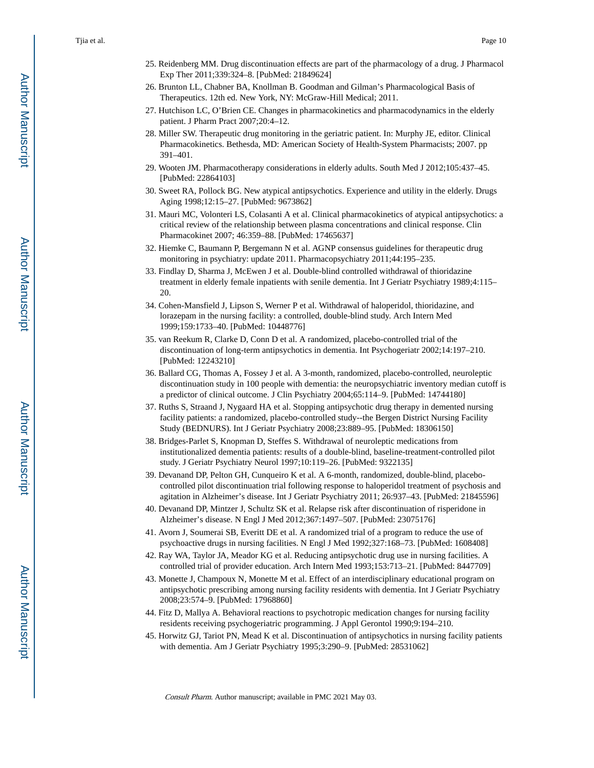- 25. Reidenberg MM. Drug discontinuation effects are part of the pharmacology of a drug. J Pharmacol Exp Ther 2011;339:324–8. [PubMed: 21849624]
- 26. Brunton LL, Chabner BA, Knollman B. Goodman and Gilman's Pharmacological Basis of Therapeutics. 12th ed. New York, NY: McGraw-Hill Medical; 2011.
- 27. Hutchison LC, O'Brien CE. Changes in pharmacokinetics and pharmacodynamics in the elderly patient. J Pharm Pract 2007;20:4–12.
- 28. Miller SW. Therapeutic drug monitoring in the geriatric patient. In: Murphy JE, editor. Clinical Pharmacokinetics. Bethesda, MD: American Society of Health-System Pharmacists; 2007. pp 391–401.
- 29. Wooten JM. Pharmacotherapy considerations in elderly adults. South Med J 2012;105:437–45. [PubMed: 22864103]
- 30. Sweet RA, Pollock BG. New atypical antipsychotics. Experience and utility in the elderly. Drugs Aging 1998;12:15–27. [PubMed: 9673862]
- 31. Mauri MC, Volonteri LS, Colasanti A et al. Clinical pharmacokinetics of atypical antipsychotics: a critical review of the relationship between plasma concentrations and clinical response. Clin Pharmacokinet 2007; 46:359–88. [PubMed: 17465637]
- 32. Hiemke C, Baumann P, Bergemann N et al. AGNP consensus guidelines for therapeutic drug monitoring in psychiatry: update 2011. Pharmacopsychiatry 2011;44:195–235.
- 33. Findlay D, Sharma J, McEwen J et al. Double-blind controlled withdrawal of thioridazine treatment in elderly female inpatients with senile dementia. Int J Geriatr Psychiatry 1989;4:115– 20.
- 34. Cohen-Mansfield J, Lipson S, Werner P et al. Withdrawal of haloperidol, thioridazine, and lorazepam in the nursing facility: a controlled, double-blind study. Arch Intern Med 1999;159:1733–40. [PubMed: 10448776]
- 35. van Reekum R, Clarke D, Conn D et al. A randomized, placebo-controlled trial of the discontinuation of long-term antipsychotics in dementia. Int Psychogeriatr 2002;14:197–210. [PubMed: 12243210]
- 36. Ballard CG, Thomas A, Fossey J et al. A 3-month, randomized, placebo-controlled, neuroleptic discontinuation study in 100 people with dementia: the neuropsychiatric inventory median cutoff is a predictor of clinical outcome. J Clin Psychiatry 2004;65:114–9. [PubMed: 14744180]
- 37. Ruths S, Straand J, Nygaard HA et al. Stopping antipsychotic drug therapy in demented nursing facility patients: a randomized, placebo-controlled study--the Bergen District Nursing Facility Study (BEDNURS). Int J Geriatr Psychiatry 2008;23:889–95. [PubMed: 18306150]
- 38. Bridges-Parlet S, Knopman D, Steffes S. Withdrawal of neuroleptic medications from institutionalized dementia patients: results of a double-blind, baseline-treatment-controlled pilot study. J Geriatr Psychiatry Neurol 1997;10:119–26. [PubMed: 9322135]
- 39. Devanand DP, Pelton GH, Cunqueiro K et al. A 6-month, randomized, double-blind, placebocontrolled pilot discontinuation trial following response to haloperidol treatment of psychosis and agitation in Alzheimer's disease. Int J Geriatr Psychiatry 2011; 26:937–43. [PubMed: 21845596]
- 40. Devanand DP, Mintzer J, Schultz SK et al. Relapse risk after discontinuation of risperidone in Alzheimer's disease. N Engl J Med 2012;367:1497–507. [PubMed: 23075176]
- 41. Avorn J, Soumerai SB, Everitt DE et al. A randomized trial of a program to reduce the use of psychoactive drugs in nursing facilities. N Engl J Med 1992;327:168–73. [PubMed: 1608408]
- 42. Ray WA, Taylor JA, Meador KG et al. Reducing antipsychotic drug use in nursing facilities. A controlled trial of provider education. Arch Intern Med 1993;153:713–21. [PubMed: 8447709]
- 43. Monette J, Champoux N, Monette M et al. Effect of an interdisciplinary educational program on antipsychotic prescribing among nursing facility residents with dementia. Int J Geriatr Psychiatry 2008;23:574–9. [PubMed: 17968860]
- 44. Fitz D, Mallya A. Behavioral reactions to psychotropic medication changes for nursing facility residents receiving psychogeriatric programming. J Appl Gerontol 1990;9:194–210.
- 45. Horwitz GJ, Tariot PN, Mead K et al. Discontinuation of antipsychotics in nursing facility patients with dementia. Am J Geriatr Psychiatry 1995;3:290–9. [PubMed: 28531062]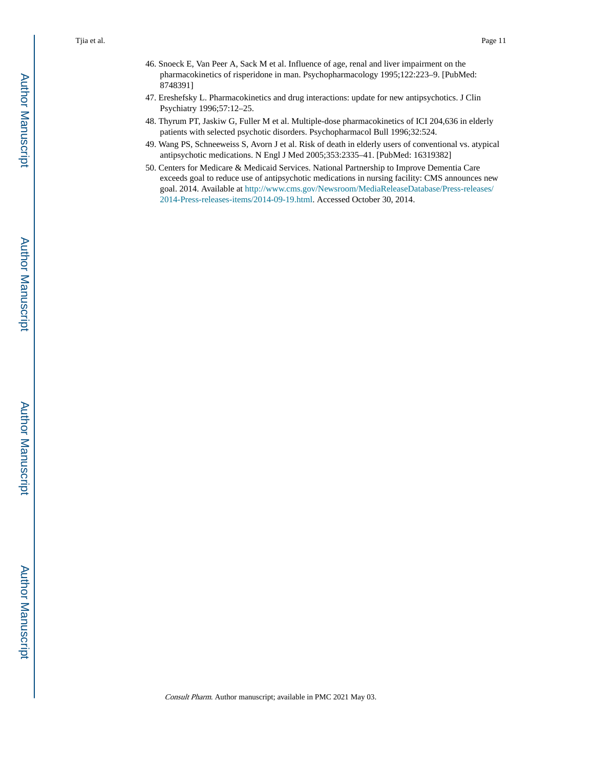- 46. Snoeck E, Van Peer A, Sack M et al. Influence of age, renal and liver impairment on the pharmacokinetics of risperidone in man. Psychopharmacology 1995;122:223–9. [PubMed: 8748391]
- 47. Ereshefsky L. Pharmacokinetics and drug interactions: update for new antipsychotics. J Clin Psychiatry 1996;57:12–25.
- 48. Thyrum PT, Jaskiw G, Fuller M et al. Multiple-dose pharmacokinetics of ICI 204,636 in elderly patients with selected psychotic disorders. Psychopharmacol Bull 1996;32:524.
- 49. Wang PS, Schneeweiss S, Avorn J et al. Risk of death in elderly users of conventional vs. atypical antipsychotic medications. N Engl J Med 2005;353:2335–41. [PubMed: 16319382]
- 50. Centers for Medicare & Medicaid Services. National Partnership to Improve Dementia Care exceeds goal to reduce use of antipsychotic medications in nursing facility: CMS announces new goal. 2014. Available at [http://www.cms.gov/Newsroom/MediaReleaseDatabase/Press-releases/](http://www.cms.gov/Newsroom/MediaReleaseDatabase/Press-releases/2014-Press-releases-items/2014-09-19.html) [2014-Press-releases-items/2014-09-19.html](http://www.cms.gov/Newsroom/MediaReleaseDatabase/Press-releases/2014-Press-releases-items/2014-09-19.html). Accessed October 30, 2014.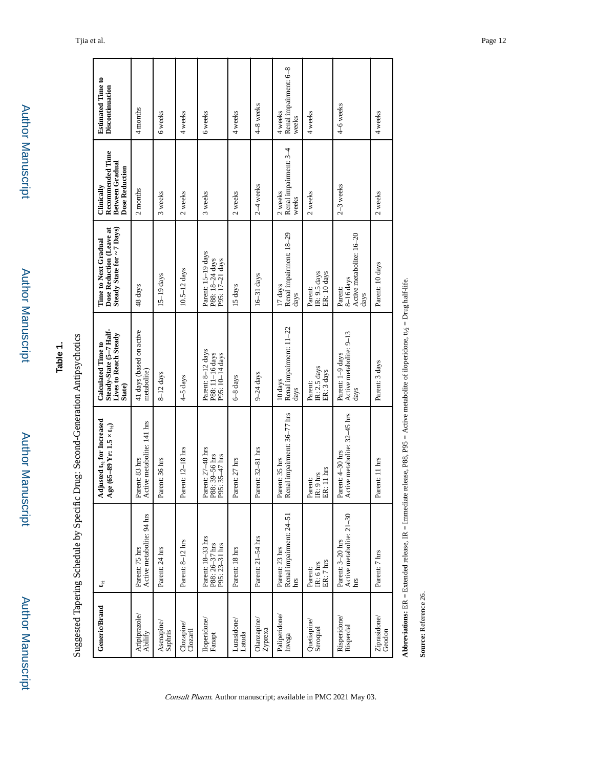| ۰<br>ì |
|--------|
|        |
|        |
|        |
|        |
| ٠      |
| ī<br>ı |
|        |
|        |
|        |
|        |
|        |
|        |
|        |
|        |
|        |
|        |
|        |
|        |
|        |
|        |
|        |
|        |
|        |
|        |
|        |
|        |
|        |
|        |
|        |
|        |
|        |
| ٠      |
|        |
|        |

# **Table 1.**

Suggested Tapering Schedule by Specific Drug: Second-Generation Antipsychotics Suggested Tapering Schedule by Specific Drug: Second-Generation Antipsychotics

| <b>Estimated Time to</b><br>Discontinuation                                             | 4 months                                     | 6 weeks               | 4 weeks               | 6 weeks                                                           | 4 weeks               | 4-8 weeks                     | Renal impairment: 6-8<br>4 weeks<br>weeks        | 4 weeks                                                | 4–6 weeks                                                  | 4 weeks                |
|-----------------------------------------------------------------------------------------|----------------------------------------------|-----------------------|-----------------------|-------------------------------------------------------------------|-----------------------|-------------------------------|--------------------------------------------------|--------------------------------------------------------|------------------------------------------------------------|------------------------|
| Recommended Time<br><b>Between Gradual</b><br><b>Dose Reduction</b><br>Clinically       | 2 months                                     | 3 weeks               | 2 weeks               | 3 weeks                                                           | 2 weeks               | $2-4$ weeks                   | Renal impairment: 3-4<br>2 weeks<br>weeks        | 2 weeks                                                | $2-3$ weeks                                                | 2 weeks                |
| Dose Reduction (Leave at<br>Steady State for ~ 7 Days)<br>Time to Next Gradual          | 48 days                                      | $15-19$ days          | $10.5 - 12$ days      | Parent: 15-19 days<br>P88: 18-24 days<br>P95: 17-21 days          | 15 days               | $16-31$ days                  | Renal impairment: 18-29<br>17 days<br>days       | IR: 9.5 days<br>ER: 10 days<br>Parent:                 | Active metabolite: 16-20<br>$8-16$ days<br>Parent:<br>days | Parent: 10 days        |
| Steady-State (5-7 Half-<br><b>Lives to Reach Steady</b><br>Calculated Time to<br>State) | 41 days (based on active<br>metabolite)      | $8-12$ days           | 4-5 days              | Parent: 8-12 days<br>P88: 11-16 days<br>P95: 10-14 days           | 6-8 days              | $9-24$ days                   | Renal impairment: 11-22<br>10 days<br>days       | IR: 2.5 days<br>ER: 3 days<br>Parent:                  | Active metabolite: 9-13<br>Parent: 1-9 days<br>days        | Parent: 3 days         |
| Adjusted t <sub>he</sub> for Increased<br>Age (65–89 Yr: $1.5 \times t_{1/2}$ )         | Active metabolite: 141 hrs<br>Parent: 83 hrs | Parent: 36 hrs        | Parent: 12-18 hrs     | Parent: 27-40 hrs<br>P88: 39-56 hrs<br>P95: 35-47 hrs             | Parent: 27 hrs        | Parent: 32-81 hrs             | Renal impairment: 36-77 hrs<br>Parent: 35 hrs    | ER: 11 hrs<br>IR: 9 hrs<br>Parent:                     | Active metabolite: 32-45 hrs<br>Parent: 4–30 hrs           | Parent: 11 hrs         |
| t,                                                                                      | Active metabolite: 94 hrs<br>Parent: 75 hrs  | Parent: 24 hrs        | Parent: 8-12 hrs      | Parent: 18-33 hrs<br>P88: 26-37 hrs<br>P95: 23-31 hrs             | Parent: 18 hrs        | Parent: 21-54 hrs             | Renal impairment: 24-51<br>Parent: 23 hrs<br>hrs | IR: $6 \, \text{hrs}$ ER: $7 \, \text{hrs}$<br>Parent: | Active metabolite: 21-30<br>Parent: 3-20 hrs<br>hrs        | Parent: 7 hrs          |
| <b>Generic/Brand</b>                                                                    | Aripiprazole/<br>Abilify                     | Asenapine/<br>Saphris | Clozapine<br>Clozaril | $\begin{array}{ll} {\rm llopridone/} \\ {\rm Fanapt} \end{array}$ | Lurasidone/<br>Latuda | Olanzapine/<br><b>Zyprexa</b> | Paliperidone/<br>Invega                          | Quetiapine/<br>Seroquel                                | Risperidone/<br>Risperdal                                  | Ziprasidone/<br>Geodon |

Abbreviations: ER = Extended release, IR = Immediate release, P88, P95 = Active metabolite of lioperidone,  $t/a = Dnug half-life$ .  $y_2$  = Drug half-life. **Abbreviations:** ER = Extended release, IR = Immediate release, P88, P95 = Active metabolite of iloperidone, t

Source: Reference 26. **Source:** Reference 26.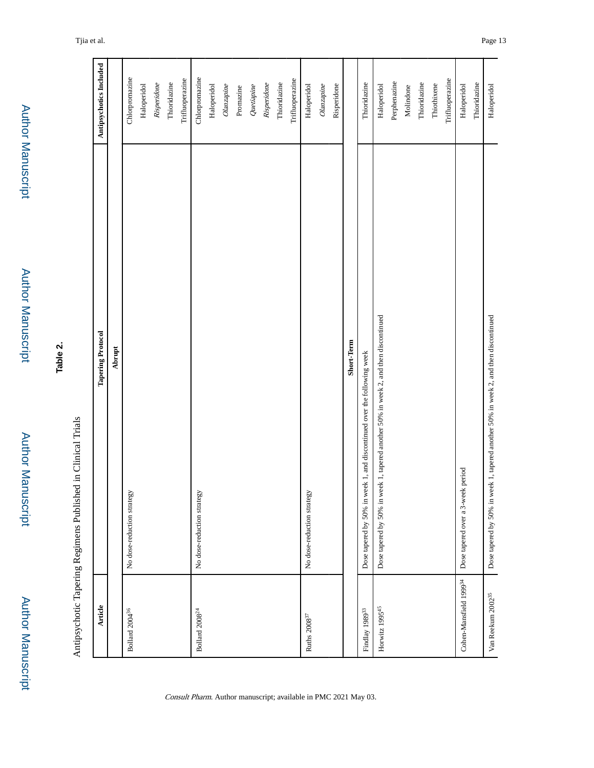Author Manuscript**Author Manuscript** 

Author Manuscript

Author Manuscript

| c<br>V |  |
|--------|--|
| Φ      |  |
|        |  |
| ۶      |  |
|        |  |

| I<br>i                                                                                                                                     |
|--------------------------------------------------------------------------------------------------------------------------------------------|
| $\frac{1}{\alpha}$                                                                                                                         |
| Î                                                                                                                                          |
| l                                                                                                                                          |
| ۱<br>l                                                                                                                                     |
| ı<br>l                                                                                                                                     |
| $\sim$<br>l<br>֚<br>֧֚֝<br>֧֚֚֚֚֝֝<br>֧ <u>֚</u><br>֧֦֦֧֧֧֧֧֧֦֧֧֧֧֦֧֧֦֧֧֧֧֛֧֦֧֚֚֝֝֬֝֝֓֝֬֝֓֝֓֝֬֝֓֝֓֝֬֝֓֝֬֝֓֝֟֓֟֓֝֬֝֓֟֓֟֓֟֓֟֓֝֬֝֬֝֓֝֬֝֬֝֬֝֬֜ |
| í                                                                                                                                          |

| <b>Article</b>                  | <b>Tapering Protocol</b>                                                            | Antipsychotics Included |
|---------------------------------|-------------------------------------------------------------------------------------|-------------------------|
|                                 | Abrupt                                                                              |                         |
| Bollard 2004 <sup>36</sup>      | No dose-reduction strategy                                                          | Chlorpromazine          |
|                                 |                                                                                     | Haloperidol             |
|                                 |                                                                                     | Risperidone             |
|                                 |                                                                                     | Thioridazine            |
|                                 |                                                                                     | Trifluoperazine         |
| Bollard 2008 <sup>24</sup>      | No dose-reduction strategy                                                          | Chlorpromazine          |
|                                 |                                                                                     | Haloperidol             |
|                                 |                                                                                     | Olanzapine              |
|                                 |                                                                                     | Promazine               |
|                                 |                                                                                     | Quetiapine              |
|                                 |                                                                                     | Risperidone             |
|                                 |                                                                                     | Thioridazine            |
|                                 |                                                                                     | Trifluoperazine         |
| Ruths $2008^{37}\,$             | No dose-reduction strategy                                                          | Haloperidol             |
|                                 |                                                                                     | Olanzapine              |
|                                 |                                                                                     | Risperidone             |
|                                 | Short-Term                                                                          |                         |
| Findlay 1989 <sup>33</sup>      | Dose tapered by 50% in week 1, and discontinued over the following week             | Thioridazine            |
| Horwitz 1995 <sup>45</sup>      | Dose tapered by 50% in week 1, tapered another 50% in week 2, and then discontinued | Haloperidol             |
|                                 |                                                                                     | Perphenazine            |
|                                 |                                                                                     | Molindone               |
|                                 |                                                                                     | Thioridazine            |
|                                 |                                                                                     | Thiothixene             |
|                                 |                                                                                     | Trifluoperazine         |
| Cohen-Mansfield 199934          | Dose tapered over a 3-week period                                                   | Haloperidol             |
|                                 |                                                                                     | Thioridazine            |
| $\mbox{Van}$ Reekum $2002^{35}$ | Dose tapered by 50% in week 1, tapered another 50% in week 2, and then discontinued | Haloperidol             |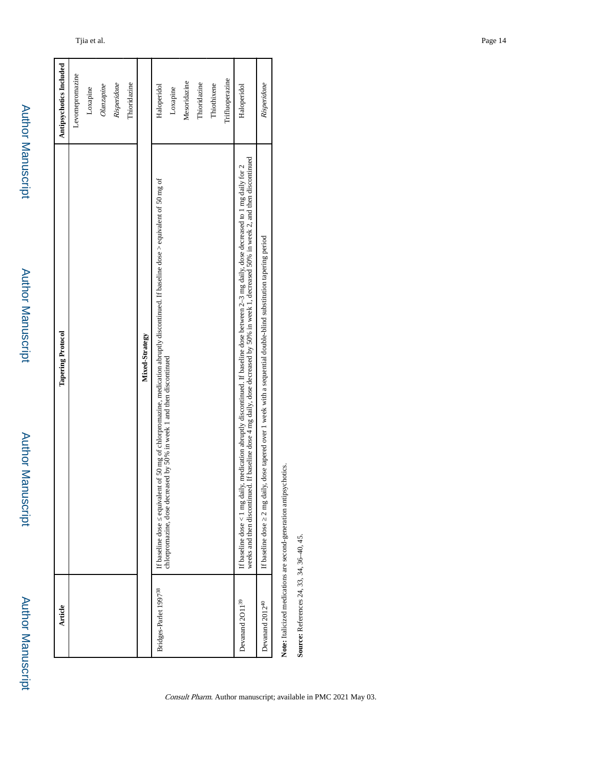Author Manuscript

Author Manuscript

Author Manuscript

Author Manuscript

| Article                           | <b>Tapering Protocol</b>                                                                                                                                                                                                                                                                | Antipsychotics Included |
|-----------------------------------|-----------------------------------------------------------------------------------------------------------------------------------------------------------------------------------------------------------------------------------------------------------------------------------------|-------------------------|
|                                   |                                                                                                                                                                                                                                                                                         | Levomepromazine         |
|                                   |                                                                                                                                                                                                                                                                                         | Loxapine                |
|                                   |                                                                                                                                                                                                                                                                                         | Olanzapine              |
|                                   |                                                                                                                                                                                                                                                                                         | Risperidone             |
|                                   |                                                                                                                                                                                                                                                                                         | Thioridazine            |
|                                   | Mixed-Strategy                                                                                                                                                                                                                                                                          |                         |
| Bridges-Parlet 1997 <sup>38</sup> | If baseline dose equivalent of 50 mg of chlorpromazine, medication abruptly discontinued. If baseline dose > equivalent of 50 mg of                                                                                                                                                     | Haloperidol             |
|                                   | chlorpromazine, dose decreased by 50% in week 1 and then discontinued                                                                                                                                                                                                                   | Loxapine                |
|                                   |                                                                                                                                                                                                                                                                                         | Mesoridazine            |
|                                   |                                                                                                                                                                                                                                                                                         | Thioridazine            |
|                                   |                                                                                                                                                                                                                                                                                         | Thiothixene             |
|                                   |                                                                                                                                                                                                                                                                                         | Trifluoperazine         |
| Devanand 2011 <sup>39</sup>       | weeks and then discontinued. If baseline dose 4 mg daily, dose decreased by 50% in week 1, decreased 50% in week 2, and then discontinued<br>If baseline dose < 1 mg daily, medication abruptly discontinued. If baseline dose between 2-3 mg daily, dose decreased to 1 mg daily for 2 | Haloperidol             |
| Devanand 2012 <sup>40</sup>       | If baseline dose 2 mg daily, dose tapered over 1 week with a sequential double-blind substitution tapering period                                                                                                                                                                       | Risperidone             |
|                                   |                                                                                                                                                                                                                                                                                         |                         |

Note: Italicized medications are second-generation antipsychotics. **Note:** Italicized medications are second-generation antipsychotics.

Source: References 24, 33, 34, 36-40, 45. **Source:** References 24, 33, 34, 36–40, 45.